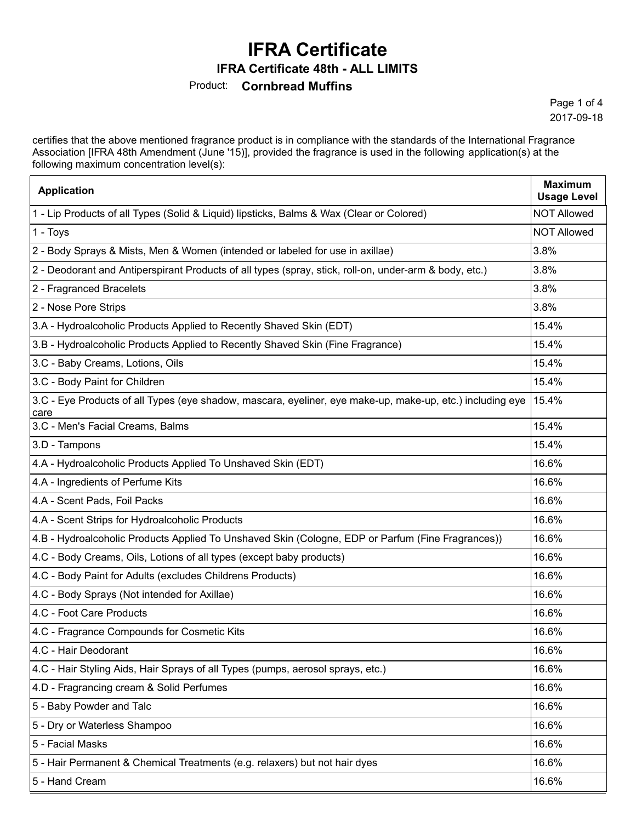**IFRA Certificate 48th - ALL LIMITS**

Product: **Cornbread Muffins** 

Page 1 of 4 2017-09-18

certifies that the above mentioned fragrance product is in compliance with the standards of the International Fragrance Association [IFRA 48th Amendment (June '15)], provided the fragrance is used in the following application(s) at the following maximum concentration level(s):

| <b>Application</b>                                                                                                | <b>Maximum</b><br><b>Usage Level</b> |
|-------------------------------------------------------------------------------------------------------------------|--------------------------------------|
| 1 - Lip Products of all Types (Solid & Liquid) lipsticks, Balms & Wax (Clear or Colored)                          | <b>NOT Allowed</b>                   |
| 1 - Toys                                                                                                          | <b>NOT Allowed</b>                   |
| 2 - Body Sprays & Mists, Men & Women (intended or labeled for use in axillae)                                     | 3.8%                                 |
| 2 - Deodorant and Antiperspirant Products of all types (spray, stick, roll-on, under-arm & body, etc.)            | 3.8%                                 |
| 2 - Fragranced Bracelets                                                                                          | 3.8%                                 |
| 2 - Nose Pore Strips                                                                                              | 3.8%                                 |
| 3.A - Hydroalcoholic Products Applied to Recently Shaved Skin (EDT)                                               | 15.4%                                |
| 3.B - Hydroalcoholic Products Applied to Recently Shaved Skin (Fine Fragrance)                                    | 15.4%                                |
| 3.C - Baby Creams, Lotions, Oils                                                                                  | 15.4%                                |
| 3.C - Body Paint for Children                                                                                     | 15.4%                                |
| 3.C - Eye Products of all Types (eye shadow, mascara, eyeliner, eye make-up, make-up, etc.) including eye<br>care | 15.4%                                |
| 3.C - Men's Facial Creams, Balms                                                                                  | 15.4%                                |
| 3.D - Tampons                                                                                                     | 15.4%                                |
| 4.A - Hydroalcoholic Products Applied To Unshaved Skin (EDT)                                                      | 16.6%                                |
| 4.A - Ingredients of Perfume Kits                                                                                 | 16.6%                                |
| 4.A - Scent Pads, Foil Packs                                                                                      | 16.6%                                |
| 4.A - Scent Strips for Hydroalcoholic Products                                                                    | 16.6%                                |
| 4.B - Hydroalcoholic Products Applied To Unshaved Skin (Cologne, EDP or Parfum (Fine Fragrances))                 | 16.6%                                |
| 4.C - Body Creams, Oils, Lotions of all types (except baby products)                                              | 16.6%                                |
| 4.C - Body Paint for Adults (excludes Childrens Products)                                                         | 16.6%                                |
| 4.C - Body Sprays (Not intended for Axillae)                                                                      | 16.6%                                |
| 4.C - Foot Care Products                                                                                          | 16.6%                                |
| 4.C - Fragrance Compounds for Cosmetic Kits                                                                       | 16.6%                                |
| 4.C - Hair Deodorant                                                                                              | 16.6%                                |
| 4.C - Hair Styling Aids, Hair Sprays of all Types (pumps, aerosol sprays, etc.)                                   | 16.6%                                |
| 4.D - Fragrancing cream & Solid Perfumes                                                                          | 16.6%                                |
| 5 - Baby Powder and Talc                                                                                          | 16.6%                                |
| 5 - Dry or Waterless Shampoo                                                                                      | 16.6%                                |
| 5 - Facial Masks                                                                                                  | 16.6%                                |
| 5 - Hair Permanent & Chemical Treatments (e.g. relaxers) but not hair dyes                                        | 16.6%                                |
| 5 - Hand Cream                                                                                                    | 16.6%                                |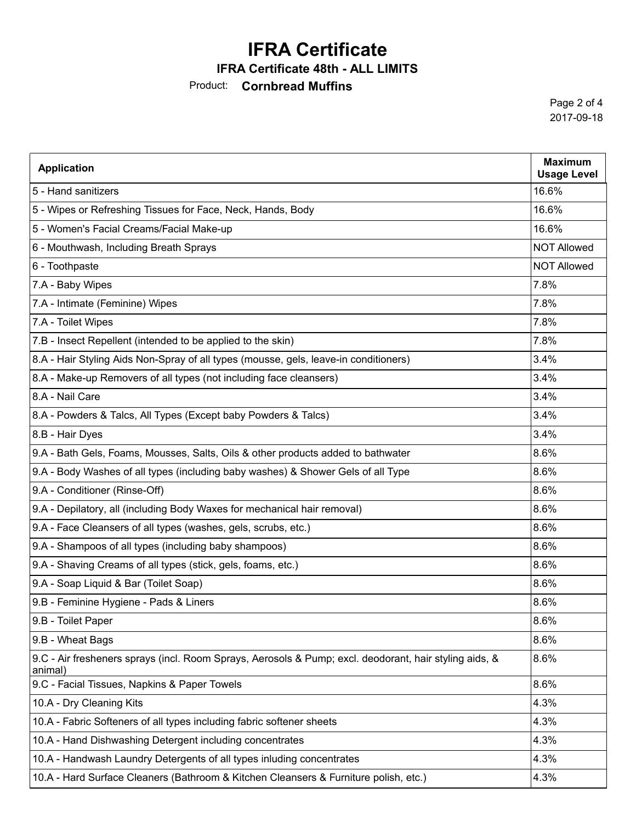#### **IFRA Certificate 48th - ALL LIMITS**

### Product: **Cornbread Muffins**

Page 2 of 4 2017-09-18

| <b>Application</b>                                                                                                | <b>Maximum</b><br><b>Usage Level</b> |
|-------------------------------------------------------------------------------------------------------------------|--------------------------------------|
| 5 - Hand sanitizers                                                                                               | 16.6%                                |
| 5 - Wipes or Refreshing Tissues for Face, Neck, Hands, Body                                                       | 16.6%                                |
| 5 - Women's Facial Creams/Facial Make-up                                                                          | 16.6%                                |
| 6 - Mouthwash, Including Breath Sprays                                                                            | <b>NOT Allowed</b>                   |
| 6 - Toothpaste                                                                                                    | <b>NOT Allowed</b>                   |
| 7.A - Baby Wipes                                                                                                  | 7.8%                                 |
| 7.A - Intimate (Feminine) Wipes                                                                                   | 7.8%                                 |
| 7.A - Toilet Wipes                                                                                                | 7.8%                                 |
| 7.B - Insect Repellent (intended to be applied to the skin)                                                       | 7.8%                                 |
| 8.A - Hair Styling Aids Non-Spray of all types (mousse, gels, leave-in conditioners)                              | 3.4%                                 |
| 8.A - Make-up Removers of all types (not including face cleansers)                                                | 3.4%                                 |
| 8.A - Nail Care                                                                                                   | 3.4%                                 |
| 8.A - Powders & Talcs, All Types (Except baby Powders & Talcs)                                                    | 3.4%                                 |
| 8.B - Hair Dyes                                                                                                   | 3.4%                                 |
| 9.A - Bath Gels, Foams, Mousses, Salts, Oils & other products added to bathwater                                  | 8.6%                                 |
| 9.A - Body Washes of all types (including baby washes) & Shower Gels of all Type                                  | 8.6%                                 |
| 9.A - Conditioner (Rinse-Off)                                                                                     | 8.6%                                 |
| 9.A - Depilatory, all (including Body Waxes for mechanical hair removal)                                          | 8.6%                                 |
| 9.A - Face Cleansers of all types (washes, gels, scrubs, etc.)                                                    | 8.6%                                 |
| 9.A - Shampoos of all types (including baby shampoos)                                                             | 8.6%                                 |
| 9.A - Shaving Creams of all types (stick, gels, foams, etc.)                                                      | 8.6%                                 |
| 9.A - Soap Liquid & Bar (Toilet Soap)                                                                             | 8.6%                                 |
| 9.B - Feminine Hygiene - Pads & Liners                                                                            | 8.6%                                 |
| 9.B - Toilet Paper                                                                                                | 8.6%                                 |
| 9.B - Wheat Bags                                                                                                  | 8.6%                                 |
| 9.C - Air fresheners sprays (incl. Room Sprays, Aerosols & Pump; excl. deodorant, hair styling aids, &<br>animal) | 8.6%                                 |
| 9.C - Facial Tissues, Napkins & Paper Towels                                                                      | 8.6%                                 |
| 10.A - Dry Cleaning Kits                                                                                          | 4.3%                                 |
| 10.A - Fabric Softeners of all types including fabric softener sheets                                             | 4.3%                                 |
| 10.A - Hand Dishwashing Detergent including concentrates                                                          | 4.3%                                 |
| 10.A - Handwash Laundry Detergents of all types inluding concentrates                                             | 4.3%                                 |
| 10.A - Hard Surface Cleaners (Bathroom & Kitchen Cleansers & Furniture polish, etc.)                              | 4.3%                                 |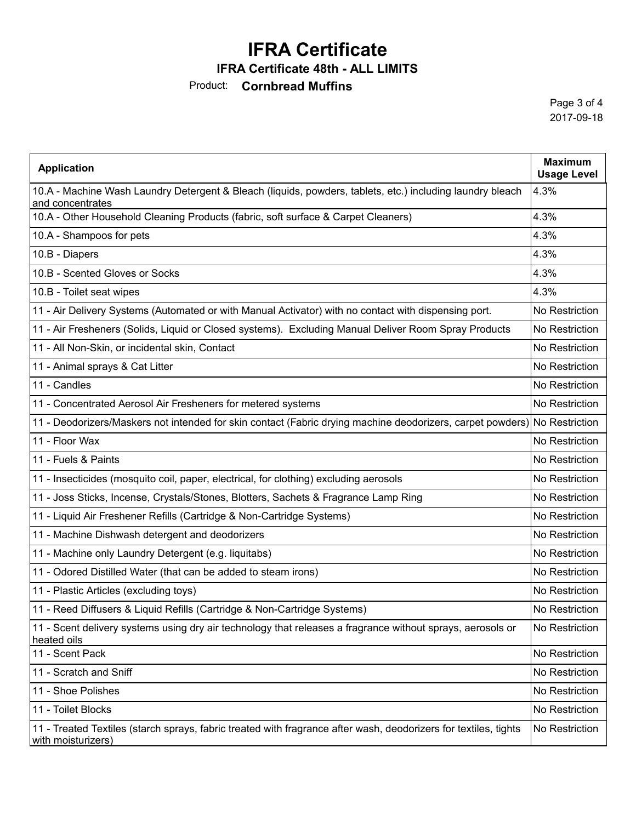### **IFRA Certificate 48th - ALL LIMITS**

Product: **Cornbread Muffins** 

Page 3 of 4 2017-09-18

| <b>Application</b>                                                                                                                     | <b>Maximum</b><br><b>Usage Level</b> |
|----------------------------------------------------------------------------------------------------------------------------------------|--------------------------------------|
| 10.A - Machine Wash Laundry Detergent & Bleach (liquids, powders, tablets, etc.) including laundry bleach<br>and concentrates          | 4.3%                                 |
| 10.A - Other Household Cleaning Products (fabric, soft surface & Carpet Cleaners)                                                      | 4.3%                                 |
| 10.A - Shampoos for pets                                                                                                               | 4.3%                                 |
| 10.B - Diapers                                                                                                                         | 4.3%                                 |
| 10.B - Scented Gloves or Socks                                                                                                         | 4.3%                                 |
| 10.B - Toilet seat wipes                                                                                                               | 4.3%                                 |
| 11 - Air Delivery Systems (Automated or with Manual Activator) with no contact with dispensing port.                                   | No Restriction                       |
| 11 - Air Fresheners (Solids, Liquid or Closed systems). Excluding Manual Deliver Room Spray Products                                   | No Restriction                       |
| 11 - All Non-Skin, or incidental skin, Contact                                                                                         | No Restriction                       |
| 11 - Animal sprays & Cat Litter                                                                                                        | No Restriction                       |
| 11 - Candles                                                                                                                           | No Restriction                       |
| 11 - Concentrated Aerosol Air Fresheners for metered systems                                                                           | No Restriction                       |
| 11 - Deodorizers/Maskers not intended for skin contact (Fabric drying machine deodorizers, carpet powders) No Restriction              |                                      |
| 11 - Floor Wax                                                                                                                         | No Restriction                       |
| 11 - Fuels & Paints                                                                                                                    | No Restriction                       |
| 11 - Insecticides (mosquito coil, paper, electrical, for clothing) excluding aerosols                                                  | No Restriction                       |
| 11 - Joss Sticks, Incense, Crystals/Stones, Blotters, Sachets & Fragrance Lamp Ring                                                    | No Restriction                       |
| 11 - Liquid Air Freshener Refills (Cartridge & Non-Cartridge Systems)                                                                  | No Restriction                       |
| 11 - Machine Dishwash detergent and deodorizers                                                                                        | No Restriction                       |
| 11 - Machine only Laundry Detergent (e.g. liquitabs)                                                                                   | No Restriction                       |
| 11 - Odored Distilled Water (that can be added to steam irons)                                                                         | No Restriction                       |
| 11 - Plastic Articles (excluding toys)                                                                                                 | No Restriction                       |
| 11 - Reed Diffusers & Liquid Refills (Cartridge & Non-Cartridge Systems)                                                               | No Restriction                       |
| 11 - Scent delivery systems using dry air technology that releases a fragrance without sprays, aerosols or<br>heated oils              | No Restriction                       |
| 11 - Scent Pack                                                                                                                        | No Restriction                       |
| 11 - Scratch and Sniff                                                                                                                 | No Restriction                       |
| 11 - Shoe Polishes                                                                                                                     | No Restriction                       |
| 11 - Toilet Blocks                                                                                                                     | No Restriction                       |
| 11 - Treated Textiles (starch sprays, fabric treated with fragrance after wash, deodorizers for textiles, tights<br>with moisturizers) | No Restriction                       |